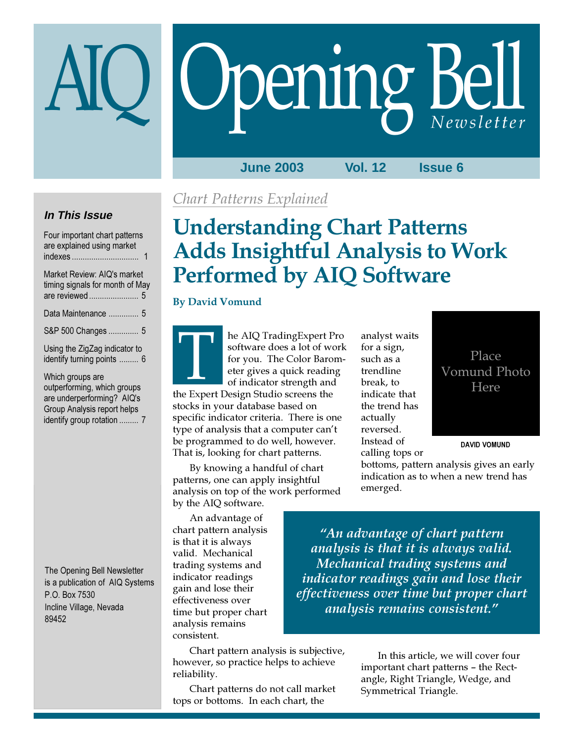# Opening Bell

**June 2003 Vol. 12 Issue 6**

## **In This Issue**

Four important chart patterns are explained using market indexes ............................... 1

| Market Review: AIQ's market<br>timing signals for month of May |  |
|----------------------------------------------------------------|--|
| Data Maintenance  5                                            |  |
| S&P 500 Changes  5                                             |  |
| Using the ZigZag indicator to<br>identify turning points  6    |  |
| Which groups are                                               |  |

outperforming, which groups are underperforming? AIQ's Group Analysis report helps identify group rotation ......... 7

The Opening Bell Newsletter is a publication of AIQ Systems P.O. Box 7530 Incline Village, Nevada 89452

## Chart Patterns Explained

# Understanding Chart Patterns Adds Insightful Analysis to Work Performed by AIQ Software

### By David Vomund

he AIQ TradingExpert Pro software does a lot of work for you. The Color Barometer gives a quick reading of indicator strength and The ALQ Trading Expert Production Software does a lot of with<br>for you. The Color Baro<br>eter gives a quick readin<br>of indicator strength and<br>the Expert Design Studio screens the

stocks in your database based on specific indicator criteria. There is one type of analysis that a computer can't be programmed to do well, however. That is, looking for chart patterns.

By knowing a handful of chart patterns, one can apply insightful analysis on top of the work performed by the AIQ software.

An advantage of chart pattern analysis is that it is always valid. Mechanical trading systems and indicator readings gain and lose their effectiveness over time but proper chart analysis remains consistent.

Chart pattern analysis is subjective, however, so practice helps to achieve reliability.

Chart patterns do not call market tops or bottoms. In each chart, the

analyst waits for a sign, such as a trendline break, to indicate that the trend has actually reversed. Instead of calling tops or

Place Vomund Photo Here

DAVID VOMUND

bottoms, pattern analysis gives an early indication as to when a new trend has emerged.

"An advantage of chart pattern analysis is that it is always valid. Mechanical trading systems and indicator readings gain and lose their effectiveness over time but proper chart analysis remains consistent."

> In this article, we will cover four important chart patterns – the Rectangle, Right Triangle, Wedge, and Symmetrical Triangle.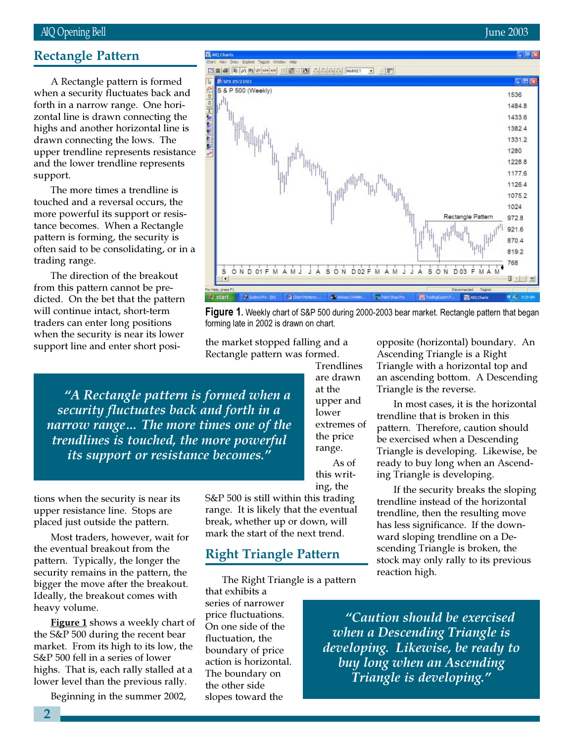#### AIQ Opening Bell June 2003

#### Rectangle Pattern

when a security fluctuates back and A Rectangle pattern is formed forth in a narrow range. One horizontal line is drawn connecting the highs and another horizontal line is drawn connecting the lows. The upper trendline represents resistance and the lower trendline represents support.

The more times a trendline is touched and a reversal occurs, the more powerful its support or resistance becomes. When a Rectangle pattern is forming, the security is often said to be consolidating, or in a trading range.

The direction of the breakout from this pattern cannot be predicted. On the bet that the pattern will continue intact, short-term traders can enter long positions when the security is near its lower support line and enter short posi-

"A Rectangle pattern is formed when a security fluctuates back and forth in a narrow range… The more times one of the trendlines is touched, the more powerful its support or resistance becomes."

tions when the security is near its upper resistance line. Stops are placed just outside the pattern.

Most traders, however, wait for the eventual breakout from the pattern. Typically, the longer the security remains in the pattern, the bigger the move after the breakout. Ideally, the breakout comes with heavy volume.

**Figure 1** shows a weekly chart of the S&P 500 during the recent bear market. From its high to its low, the S&P 500 fell in a series of lower highs. That is, each rally stalled at a lower level than the previous rally.

Beginning in the summer 2002,

S&P 500 is still within this trading range. It is likely that the eventual break, whether up or down, will mark the start of the next trend.

#### Right Triangle Pattern

forming late in 2002 is drawn on chart.

**ES AIO Charts** 

the market stopped falling and a

The Right Triangle is a pattern

that exhibits a series of narrower price fluctuations. On one side of the fluctuation, the boundary of price action is horizontal. The boundary on the other side slopes toward the



Ascending Triangle is a Right Triangle with a horizontal top and an ascending bottom. A Descending Triangle is the reverse.

In most cases, it is the horizontal trendline that is broken in this pattern. Therefore, caution should be exercised when a Descending Triangle is developing. Likewise, be ready to buy long when an Ascending Triangle is developing.

If the security breaks the sloping trendline instead of the horizontal trendline, then the resulting move has less significance. If the downward sloping trendline on a Descending Triangle is broken, the stock may only rally to its previous reaction high.

"Caution should be exercised when a Descending Triangle is developing. Likewise, be ready to buy long when an Ascending Triangle is developing."

opposite (horizontal) boundary. An



**Figure 1.** Weekly chart of S&P 500 during 2000-2003 bear market. Rectangle pattern that began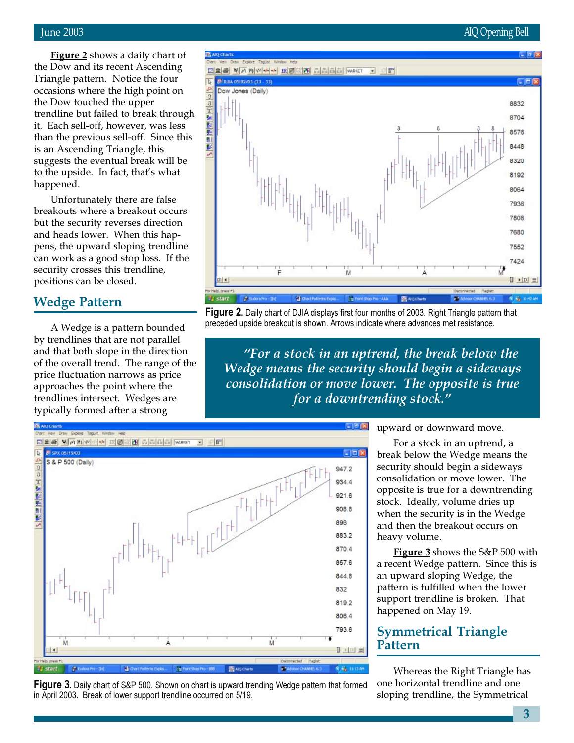### June 2003 AIQ Opening Bell

**Figure 2** shows a daily chart of the Dow and its recent Ascending Triangle pattern. Notice the four occasions where the high point on the Dow touched the upper trendline but failed to break through it. Each sell-off, however, was less than the previous sell-off. Since this is an Ascending Triangle, this suggests the eventual break will be to the upside. In fact, that's what happened.

Unfortunately there are false breakouts where a breakout occurs but the security reverses direction and heads lower. When this happens, the upward sloping trendline can work as a good stop loss. If the security crosses this trendline, positions can be closed.

#### Wedge Pattern

A Wedge is a pattern bounded by trendlines that are not parallel and that both slope in the direction of the overall trend. The range of the price fluctuation narrows as price approaches the point where the trendlines intersect. Wedges are typically formed after a strong



**Figure 2.** Daily chart of DJIA displays first four months of 2003. Right Triangle pattern that preceded upside breakout is shown. Arrows indicate where advances met resistance.

"For a stock in an uptrend, the break below the Wedge means the security should begin a sideways consolidation or move lower. The opposite is true for a downtrending stock."





upward or downward move.

For a stock in an uptrend, a break below the Wedge means the security should begin a sideways consolidation or move lower. The opposite is true for a downtrending stock. Ideally, volume dries up when the security is in the Wedge and then the breakout occurs on heavy volume.

Figure 3 shows the S&P 500 with a recent Wedge pattern. Since this is an upward sloping Wedge, the pattern is fulfilled when the lower support trendline is broken. That happened on May 19.

## Symmetrical Triangle Pattern

Whereas the Right Triangle has one horizontal trendline and one sloping trendline, the Symmetrical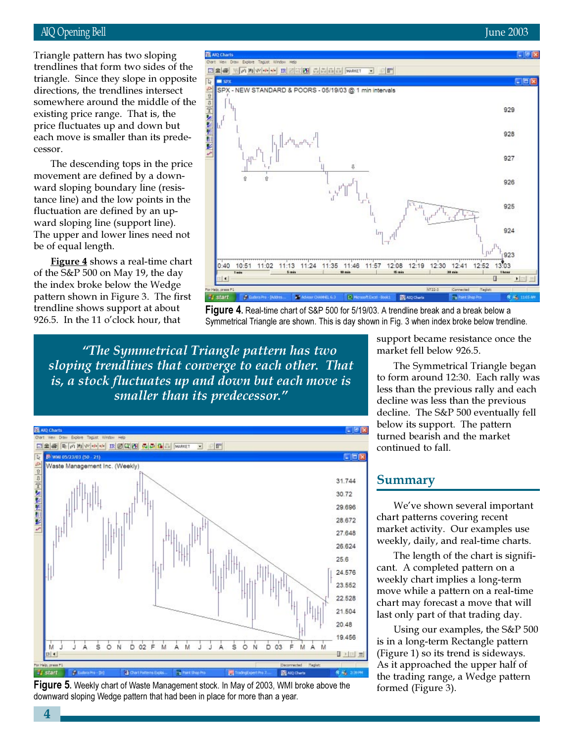#### AIQ Opening Bell June 2003

directions, the trendlines intersect Triangle pattern has two sloping trendlines that form two sides of the triangle. Since they slope in opposite somewhere around the middle of the existing price range. That is, the price fluctuates up and down but each move is smaller than its predecessor.

The descending tops in the price movement are defined by a downward sloping boundary line (resistance line) and the low points in the fluctuation are defined by an upward sloping line (support line). The upper and lower lines need not be of equal length.

Figure 4 shows a real-time chart of the S&P 500 on May 19, the day the index broke below the Wedge pattern shown in Figure 3. The first trendline shows support at about 926.5. In the 11 o'clock hour, that



Figure 4. Real-time chart of S&P 500 for 5/19/03. A trendline break and a break below a Symmetrical Triangle are shown. This is day shown in Fig. 3 when index broke below trendline.

"The Symmetrical Triangle pattern has two sloping trendlines that converge to each other. That is, a stock fluctuates up and down but each move is smaller than its predecessor."





support became resistance once the market fell below 926.5.

The Symmetrical Triangle began to form around 12:30. Each rally was less than the previous rally and each decline was less than the previous decline. The S&P 500 eventually fell below its support. The pattern turned bearish and the market continued to fall.

#### Summary

We've shown several important chart patterns covering recent market activity. Our examples use weekly, daily, and real-time charts.

The length of the chart is significant. A completed pattern on a weekly chart implies a long-term move while a pattern on a real-time chart may forecast a move that will last only part of that trading day.

Using our examples, the S&P 500 is in a long-term Rectangle pattern (Figure 1) so its trend is sideways. As it approached the upper half of the trading range, a Wedge pattern formed (Figure 3).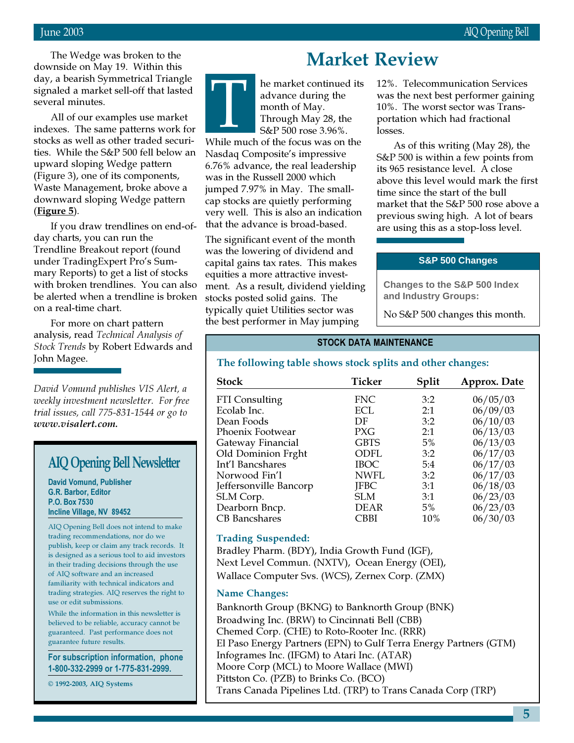The Wedge was broken to the downside on May 19. Within this day, a bearish Symmetrical Triangle signaled a market sell-off that lasted several minutes.

All of our examples use market indexes. The same patterns work for stocks as well as other traded securities. While the S&P 500 fell below an upward sloping Wedge pattern (Figure 3), one of its components, Waste Management, broke above a downward sloping Wedge pattern (Figure 5).

If you draw trendlines on end-ofday charts, you can run the Trendline Breakout report (found under TradingExpert Pro's Summary Reports) to get a list of stocks with broken trendlines. You can also be alerted when a trendline is broken on a real-time chart.

For more on chart pattern analysis, read Technical Analysis of Stock Trends by Robert Edwards and John Magee.

David Vomund publishes VIS Alert, a weekly investment newsletter. For free trial issues, call 775-831-1544 or go to www.visalert.com.

## AIQ Opening Bell Newsletter

David Vomund, Publisher G.R. Barbor, Editor P.O. Box 7530 Incline Village, NV 89452

AIQ Opening Bell does not intend to make trading recommendations, nor do we publish, keep or claim any track records. It is designed as a serious tool to aid investors in their trading decisions through the use of AIQ software and an increased familiarity with technical indicators and trading strategies. AIQ reserves the right to use or edit submissions.

While the information in this newsletter is believed to be reliable, accuracy cannot be guaranteed. Past performance does not guarantee future results.

For subscription information, phone 1-800-332-2999 or 1-775-831-2999.

© 1992-2003, AIQ Systems

## Market Review

he market continued its advance during the month of May. Through May 28, the S&P 500 rose 3.96%. re market continued its<br>advance during the<br>month of May.<br>Through May 28, the<br>S&P 500 rose 3.96%.<br>While much of the focus was on the

Nasdaq Composite's impressive 6.76% advance, the real leadership was in the Russell 2000 which jumped 7.97% in May. The smallcap stocks are quietly performing very well. This is also an indication that the advance is broad-based.

The significant event of the month was the lowering of dividend and capital gains tax rates. This makes equities a more attractive investment. As a result, dividend yielding stocks posted solid gains. The typically quiet Utilities sector was the best performer in May jumping

12%. Telecommunication Services was the next best performer gaining 10%. The worst sector was Transportation which had fractional losses.

As of this writing (May 28), the S&P 500 is within a few points from its 965 resistance level. A close above this level would mark the first time since the start of the bull market that the S&P 500 rose above a previous swing high. A lot of bears are using this as a stop-loss level.

#### **S&P 500 Changes**

**Changes to the S&P 500 Index and Industry Groups:**

No S&P 500 changes this month.

#### STOCK DATA MAINTENANCE

#### The following table shows stock splits and other changes:

| <b>Stock</b>           | Ticker      | Split | Approx. Date |
|------------------------|-------------|-------|--------------|
| FTI Consulting         | <b>FNC</b>  | 3:2   | 06/05/03     |
| Ecolab Inc.            | ECL         | 2:1   | 06/09/03     |
| Dean Foods             | DF          | 3:2   | 06/10/03     |
| Phoenix Footwear       | <b>PXG</b>  | 2:1   | 06/13/03     |
| Gateway Financial      | <b>GBTS</b> | $5\%$ | 06/13/03     |
| Old Dominion Frght     | ODFL        | 3:2   | 06/17/03     |
| Int'l Bancshares       | IBOC        | 5:4   | 06/17/03     |
| Norwood Fin'l          | NWFL        | 3:2   | 06/17/03     |
| Jeffersonville Bancorp | <b>JFBC</b> | 3:1   | 06/18/03     |
| SLM Corp.              | <b>SLM</b>  | 3:1   | 06/23/03     |
| Dearborn Bncp.         | DEAR        | 5%    | 06/23/03     |
| <b>CB</b> Bancshares   | CBBI        | 10%   | 06/30/03     |

Trading Suspended:

Bradley Pharm. (BDY), India Growth Fund (IGF), Next Level Commun. (NXTV), Ocean Energy (OEI), Wallace Computer Svs. (WCS), Zernex Corp. (ZMX)

#### Name Changes:

Banknorth Group (BKNG) to Banknorth Group (BNK) Broadwing Inc. (BRW) to Cincinnati Bell (CBB) Chemed Corp. (CHE) to Roto-Rooter Inc. (RRR) El Paso Energy Partners (EPN) to Gulf Terra Energy Partners (GTM) Infogrames Inc. (IFGM) to Atari Inc. (ATAR) Moore Corp (MCL) to Moore Wallace (MWI) Pittston Co. (PZB) to Brinks Co. (BCO) Trans Canada Pipelines Ltd. (TRP) to Trans Canada Corp (TRP)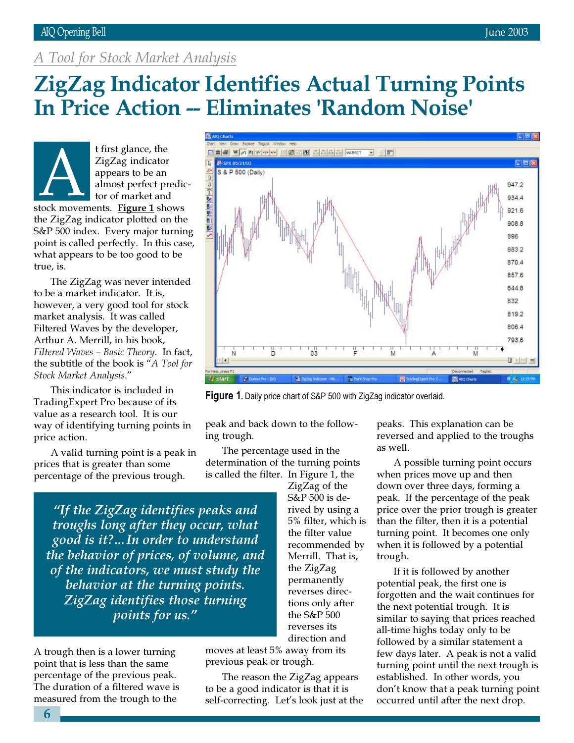#### AIQ Opening Bell June 2003

## A Tool for Stock Market Analysis

## ZigZag Indicator Identifies Actual Turning Points In Price Action -- Eliminates 'Random Noise'



t first glance, the ZigZag indicator appears to be an almost perfect predictor of market and EigZag indicator<br>appears to be an<br>almost perfect predit<br>tor of market and<br>stock movements. Figure 1 shows

the ZigZag indicator plotted on the S&P 500 index. Every major turning point is called perfectly. In this case, what appears to be too good to be true, is.

The ZigZag was never intended to be a market indicator. It is, however, a very good tool for stock market analysis. It was called Filtered Waves by the developer, Arthur A. Merrill, in his book, Filtered Waves – Basic Theory. In fact, the subtitle of the book is "A Tool for Stock Market Analysis."

This indicator is included in TradingExpert Pro because of its value as a research tool. It is our way of identifying turning points in price action.

A valid turning point is a peak in prices that is greater than some percentage of the previous trough.

"If the ZigZag identifies peaks and troughs long after they occur, what good is it?…In order to understand the behavior of prices, of volume, and of the indicators, we must study the behavior at the turning points. ZigZag identifies those turning points for us."

A trough then is a lower turning point that is less than the same percentage of the previous peak. The duration of a filtered wave is measured from the trough to the

ZigZag of the S&P 500 is derived by using a 5% filter, which is the filter value recommended by Merrill. That is, the ZigZag permanently reverses directions only after the S&P 500 reverses its direction and

moves at least 5% away from its previous peak or trough.

The reason the ZigZag appears to be a good indicator is that it is self-correcting. Let's look just at the peaks. This explanation can be reversed and applied to the troughs as well.

A possible turning point occurs when prices move up and then down over three days, forming a peak. If the percentage of the peak price over the prior trough is greater than the filter, then it is a potential turning point. It becomes one only when it is followed by a potential trough.

potential peak, the first one is forgotten and the wait continues for the next potential trough. It is similar to saying that prices reached all-time highs today only to be followed by a similar statement a few days later. A peak is not a valid turning point until the next trough is established. In other words, you don't know that a peak turning point occurred until after the next drop.



peak and back down to the following trough.

The percentage used in the determination of the turning points is called the filter. In Figure 1, the

6

If it is followed by another

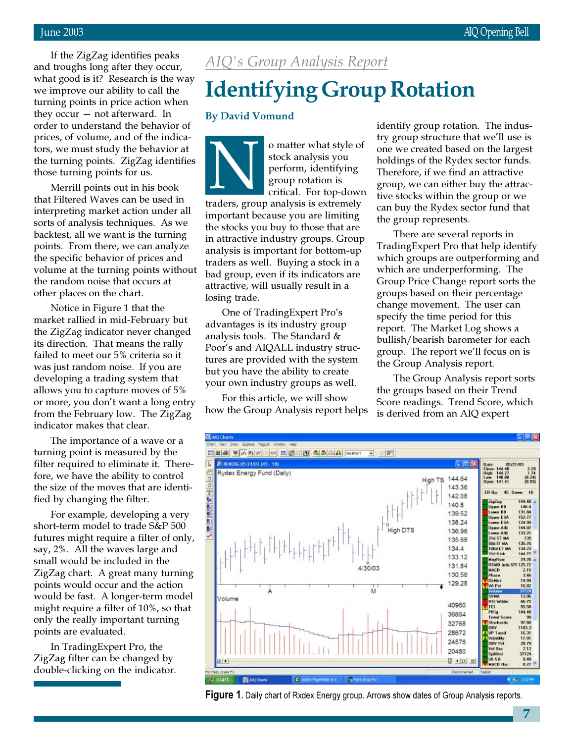at go<br>Pimpi<br>Pining<br>Py occ<br>der to<br>ces, c If the ZigZag identifies peaks and troughs long after they occur, what good is it? Research is the way we improve our ability to call the turning points in price action when they occur — not afterward. In order to understand the behavior of prices, of volume, and of the indicators, we must study the behavior at the turning points. ZigZag identifies those turning points for us.

Merrill points out in his book that Filtered Waves can be used in interpreting market action under all sorts of analysis techniques. As we backtest, all we want is the turning points. From there, we can analyze the specific behavior of prices and volume at the turning points without the random noise that occurs at other places on the chart.

Notice in Figure 1 that the market rallied in mid-February but the ZigZag indicator never changed its direction. That means the rally failed to meet our 5% criteria so it was just random noise. If you are developing a trading system that allows you to capture moves of 5% or more, you don't want a long entry from the February low. The ZigZag indicator makes that clear.

The importance of a wave or a turning point is measured by the filter required to eliminate it. Therefore, we have the ability to control the size of the moves that are identified by changing the filter.

For example, developing a very short-term model to trade S&P 500 futures might require a filter of only, say, 2%. All the waves large and small would be included in the ZigZag chart. A great many turning points would occur and the action would be fast. A longer-term model might require a filter of 10%, so that only the really important turning points are evaluated.

In TradingExpert Pro, the ZigZag filter can be changed by double-clicking on the indicator.

## AIQ's Group Analysis Report

# Identifying Group Rotation

#### By David Vomund

o matter what style of stock analysis you perform, identifying group rotation is critical. For top-down o matter what style of stock analysis you<br>perform, identifying<br>group rotation is<br>critical. For top-dow<br>traders, group analysis is extremely important because you are limiting the stocks you buy to those that are in attractive industry groups. Group analysis is important for bottom-up traders as well. Buying a stock in a bad group, even if its indicators are attractive, will usually result in a losing trade.

One of TradingExpert Pro's advantages is its industry group analysis tools. The Standard & Poor's and AIQALL industry structures are provided with the system but you have the ability to create your own industry groups as well.

For this article, we will show how the Group Analysis report helps identify group rotation. The industry group structure that we'll use is one we created based on the largest holdings of the Rydex sector funds. Therefore, if we find an attractive group, we can either buy the attractive stocks within the group or we can buy the Rydex sector fund that the group represents.

There are several reports in TradingExpert Pro that help identify which groups are outperforming and which are underperforming. The Group Price Change report sorts the groups based on their percentage change movement. The user can specify the time period for this report. The Market Log shows a bullish/bearish barometer for each group. The report we'll focus on is the Group Analysis report.

The Group Analysis report sorts the groups based on their Trend Score readings. Trend Score, which is derived from an AIQ expert



Figure 1. Daily chart of Rxdex Energy group. Arrows show dates of Group Analysis reports.